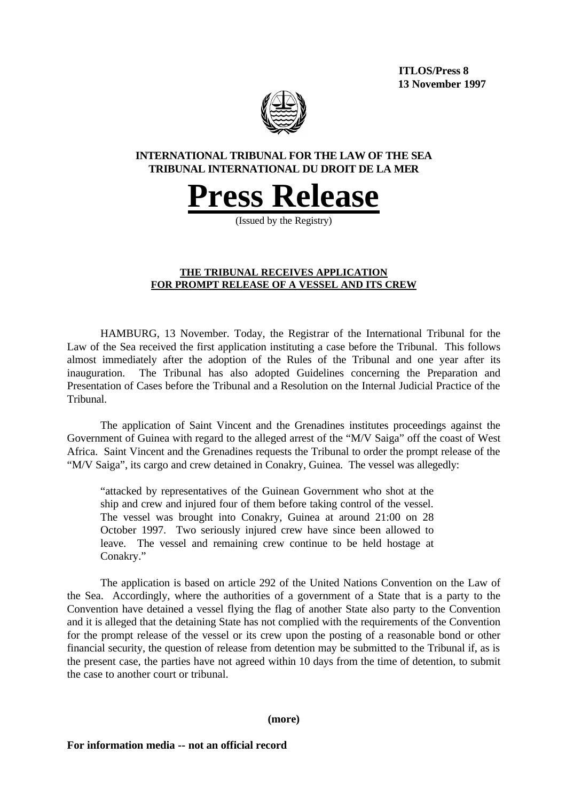**ITLOS/Press 8 13 November 1997**



# **INTERNATIONAL TRIBUNAL FOR THE LAW OF THE SEA TRIBUNAL INTERNATIONAL DU DROIT DE LA MER**

# **Press Release**

(Issued by the Registry)

# **THE TRIBUNAL RECEIVES APPLICATION FOR PROMPT RELEASE OF A VESSEL AND ITS CREW**

HAMBURG, 13 November. Today, the Registrar of the International Tribunal for the Law of the Sea received the first application instituting a case before the Tribunal. This follows almost immediately after the adoption of the Rules of the Tribunal and one year after its inauguration. The Tribunal has also adopted Guidelines concerning the Preparation and Presentation of Cases before the Tribunal and a Resolution on the Internal Judicial Practice of the Tribunal.

The application of Saint Vincent and the Grenadines institutes proceedings against the Government of Guinea with regard to the alleged arrest of the "M/V Saiga" off the coast of West Africa. Saint Vincent and the Grenadines requests the Tribunal to order the prompt release of the "M/V Saiga", its cargo and crew detained in Conakry, Guinea. The vessel was allegedly:

"attacked by representatives of the Guinean Government who shot at the ship and crew and injured four of them before taking control of the vessel. The vessel was brought into Conakry, Guinea at around 21:00 on 28 October 1997. Two seriously injured crew have since been allowed to leave. The vessel and remaining crew continue to be held hostage at Conakry."

The application is based on article 292 of the United Nations Convention on the Law of the Sea. Accordingly, where the authorities of a government of a State that is a party to the Convention have detained a vessel flying the flag of another State also party to the Convention and it is alleged that the detaining State has not complied with the requirements of the Convention for the prompt release of the vessel or its crew upon the posting of a reasonable bond or other financial security, the question of release from detention may be submitted to the Tribunal if, as is the present case, the parties have not agreed within 10 days from the time of detention, to submit the case to another court or tribunal.

## **(more)**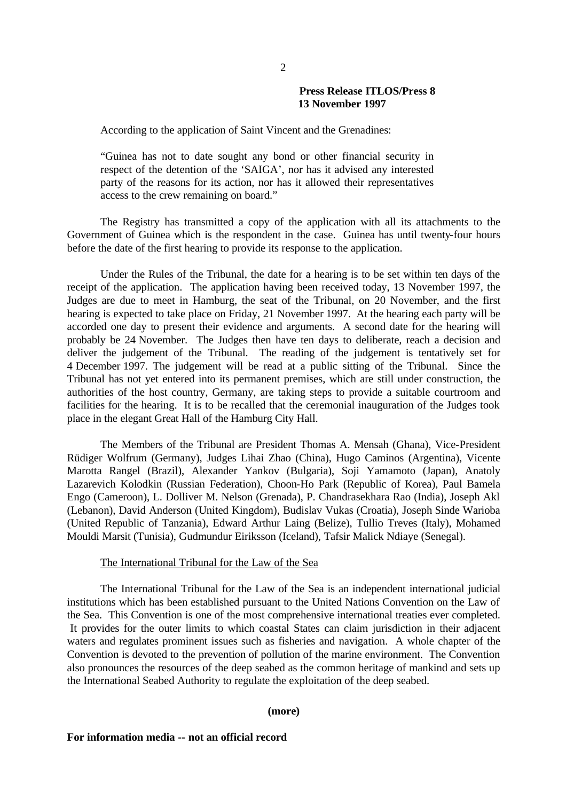## **Press Release ITLOS/Press 8 13 November 1997**

According to the application of Saint Vincent and the Grenadines:

"Guinea has not to date sought any bond or other financial security in respect of the detention of the 'SAIGA', nor has it advised any interested party of the reasons for its action, nor has it allowed their representatives access to the crew remaining on board."

The Registry has transmitted a copy of the application with all its attachments to the Government of Guinea which is the respondent in the case. Guinea has until twenty-four hours before the date of the first hearing to provide its response to the application.

Under the Rules of the Tribunal, the date for a hearing is to be set within ten days of the receipt of the application. The application having been received today, 13 November 1997, the Judges are due to meet in Hamburg, the seat of the Tribunal, on 20 November, and the first hearing is expected to take place on Friday, 21 November 1997. At the hearing each party will be accorded one day to present their evidence and arguments. A second date for the hearing will probably be 24 November. The Judges then have ten days to deliberate, reach a decision and deliver the judgement of the Tribunal. The reading of the judgement is tentatively set for 4 December 1997. The judgement will be read at a public sitting of the Tribunal. Since the Tribunal has not yet entered into its permanent premises, which are still under construction, the authorities of the host country, Germany, are taking steps to provide a suitable courtroom and facilities for the hearing. It is to be recalled that the ceremonial inauguration of the Judges took place in the elegant Great Hall of the Hamburg City Hall.

The Members of the Tribunal are President Thomas A. Mensah (Ghana), Vice-President Rüdiger Wolfrum (Germany), Judges Lihai Zhao (China), Hugo Caminos (Argentina), Vicente Marotta Rangel (Brazil), Alexander Yankov (Bulgaria), Soji Yamamoto (Japan), Anatoly Lazarevich Kolodkin (Russian Federation), Choon-Ho Park (Republic of Korea), Paul Bamela Engo (Cameroon), L. Dolliver M. Nelson (Grenada), P. Chandrasekhara Rao (India), Joseph Akl (Lebanon), David Anderson (United Kingdom), Budislav Vukas (Croatia), Joseph Sinde Warioba (United Republic of Tanzania), Edward Arthur Laing (Belize), Tullio Treves (Italy), Mohamed Mouldi Marsit (Tunisia), Gudmundur Eiriksson (Iceland), Tafsir Malick Ndiaye (Senegal).

#### The International Tribunal for the Law of the Sea

The International Tribunal for the Law of the Sea is an independent international judicial institutions which has been established pursuant to the United Nations Convention on the Law of the Sea. This Convention is one of the most comprehensive international treaties ever completed. It provides for the outer limits to which coastal States can claim jurisdiction in their adjacent waters and regulates prominent issues such as fisheries and navigation. A whole chapter of the Convention is devoted to the prevention of pollution of the marine environment. The Convention also pronounces the resources of the deep seabed as the common heritage of mankind and sets up the International Seabed Authority to regulate the exploitation of the deep seabed.

#### **(more)**

#### **For information media -- not an official record**